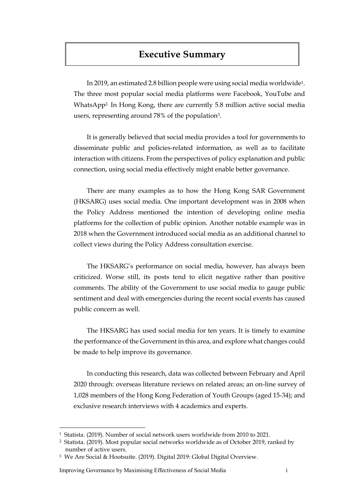# **Executive Summary**

In 2019, an estimated 2.8 billion people were using social media worldwide1. The three most popular social media platforms were Facebook, YouTube and WhatsApp2. In Hong Kong, there are currently 5.8 million active social media users, representing around 78% of the population3.

It is generally believed that social media provides a tool for governments to disseminate public and policies-related information, as well as to facilitate interaction with citizens. From the perspectives of policy explanation and public connection, using social media effectively might enable better governance.

There are many examples as to how the Hong Kong SAR Government (HKSARG) uses social media. One important development was in 2008 when the Policy Address mentioned the intention of developing online media platforms for the collection of public opinion. Another notable example was in 2018 when the Government introduced social media as an additional channel to collect views during the Policy Address consultation exercise.

The HKSARG's performance on social media, however, has always been criticized. Worse still, its posts tend to elicit negative rather than positive comments. The ability of the Government to use social media to gauge public sentiment and deal with emergencies during the recent social events has caused public concern as well.

The HKSARG has used social media for ten years. It is timely to examine the performance of the Government in this area, and explore what changes could be made to help improve its governance.

In conducting this research, data was collected between February and April 2020 through: overseas literature reviews on related areas; an on-line survey of 1,028 members of the Hong Kong Federation of Youth Groups (aged 15-34); and exclusive research interviews with 4 academics and experts.

 $\overline{a}$ 

<sup>1</sup> Statista. (2019). Number of social network users worldwide from 2010 to 2021.

<sup>2</sup> Statista. (2019). Most popular social networks worldwide as of October 2019, ranked by number of active users.

<sup>3</sup> We Are Social & Hootsuite. (2019). Digital 2019: Global Digital Overview.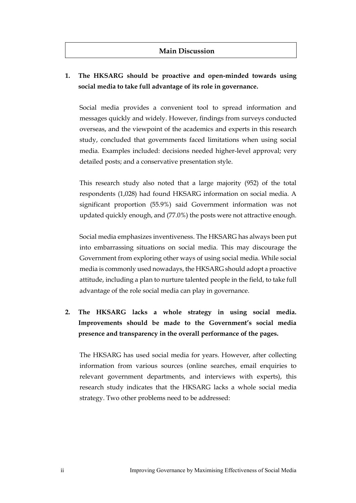#### **Main Discussion**

## **1. The HKSARG should be proactive and open-minded towards using social media to take full advantage of its role in governance.**

Social media provides a convenient tool to spread information and messages quickly and widely. However, findings from surveys conducted overseas, and the viewpoint of the academics and experts in this research study, concluded that governments faced limitations when using social media. Examples included: decisions needed higher-level approval; very detailed posts; and a conservative presentation style.

This research study also noted that a large majority (952) of the total respondents (1,028) had found HKSARG information on social media. A significant proportion (55.9%) said Government information was not updated quickly enough, and (77.0%) the posts were not attractive enough.

Social media emphasizes inventiveness. The HKSARG has always been put into embarrassing situations on social media. This may discourage the Government from exploring other ways of using social media. While social media is commonly used nowadays, the HKSARG should adopt a proactive attitude, including a plan to nurture talented people in the field, to take full advantage of the role social media can play in governance.

**2. The HKSARG lacks a whole strategy in using social media. Improvements should be made to the Government's social media presence and transparency in the overall performance of the pages.** 

The HKSARG has used social media for years. However, after collecting information from various sources (online searches, email enquiries to relevant government departments, and interviews with experts), this research study indicates that the HKSARG lacks a whole social media strategy. Two other problems need to be addressed: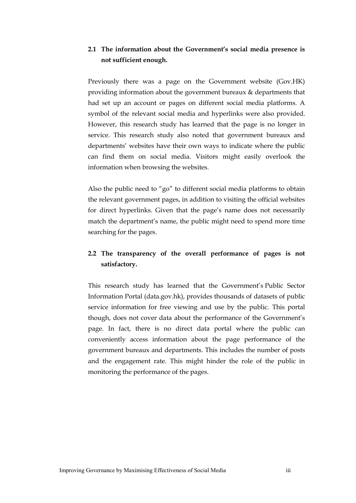#### **2.1 The information about the Government's social media presence is not sufficient enough.**

Previously there was a page on the Government website (Gov.HK) providing information about the government bureaux & departments that had set up an account or pages on different social media platforms. A symbol of the relevant social media and hyperlinks were also provided. However, this research study has learned that the page is no longer in service. This research study also noted that government bureaux and departments' websites have their own ways to indicate where the public can find them on social media. Visitors might easily overlook the information when browsing the websites.

Also the public need to "go" to different social media platforms to obtain the relevant government pages, in addition to visiting the official websites for direct hyperlinks. Given that the page's name does not necessarily match the department's name, the public might need to spend more time searching for the pages.

## **2.2 The transparency of the overall performance of pages is not satisfactory.**

This research study has learned that the Government's Public Sector Information Portal [\(data.gov.hk\)](https://data.gov.hk/en/), provides thousands of datasets of public service information for free viewing and use by the public. This portal though, does not cover data about the performance of the Government's page. In fact, there is no direct data portal where the public can conveniently access information about the page performance of the government bureaux and departments. This includes the number of posts and the engagement rate. This might hinder the role of the public in monitoring the performance of the pages.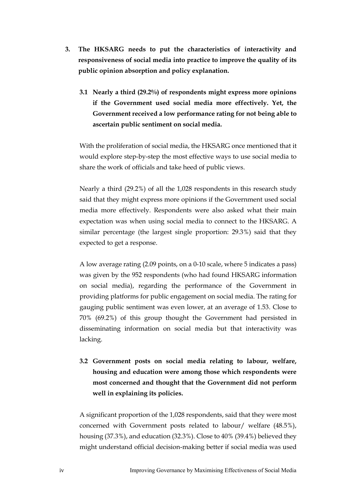- **3. The HKSARG needs to put the characteristics of interactivity and responsiveness of social media into practice to improve the quality of its public opinion absorption and policy explanation.** 
	- **3.1 Nearly a third (29.2%) of respondents might express more opinions if the Government used social media more effectively. Yet, the Government received a low performance rating for not being able to ascertain public sentiment on social media.**

With the proliferation of social media, the HKSARG once mentioned that it would explore step-by-step the most effective ways to use social media to share the work of officials and take heed of public views.

Nearly a third (29.2%) of all the 1,028 respondents in this research study said that they might express more opinions if the Government used social media more effectively. Respondents were also asked what their main expectation was when using social media to connect to the HKSARG. A similar percentage (the largest single proportion: 29.3%) said that they expected to get a response.

A low average rating (2.09 points, on a 0-10 scale, where 5 indicates a pass) was given by the 952 respondents (who had found HKSARG information on social media), regarding the performance of the Government in providing platforms for public engagement on social media. The rating for gauging public sentiment was even lower, at an average of 1.53. Close to 70% (69.2%) of this group thought the Government had persisted in disseminating information on social media but that interactivity was lacking.

**3.2 Government posts on social media relating to labour, welfare, housing and education were among those which respondents were most concerned and thought that the Government did not perform well in explaining its policies.**

A significant proportion of the 1,028 respondents, said that they were most concerned with Government posts related to labour/ welfare (48.5%), housing (37.3%), and education (32.3%). Close to 40% (39.4%) believed they might understand official decision-making better if social media was used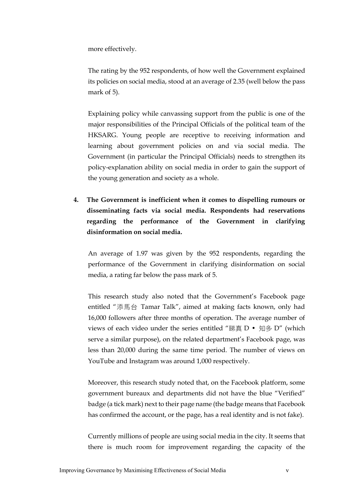more effectively.

The rating by the 952 respondents, of how well the Government explained its policies on social media, stood at an average of 2.35 (well below the pass mark of 5).

Explaining policy while canvassing support from the public is one of the major responsibilities of the Principal Officials of the political team of the HKSARG. Young people are receptive to receiving information and learning about government policies on and via social media. The Government (in particular the Principal Officials) needs to strengthen its policy-explanation ability on social media in order to gain the support of the young generation and society as a whole.

**4. The Government is inefficient when it comes to dispelling rumours or disseminating facts via social media. Respondents had reservations regarding the performance of the Government in clarifying disinformation on social media.** 

An average of 1.97 was given by the 952 respondents, regarding the performance of the Government in clarifying disinformation on social media, a rating far below the pass mark of 5.

This research study also noted that the Government's Facebook page entitled "添馬台 Tamar Talk", aimed at making facts known, only had 16,000 followers after three months of operation. The average number of views of each video under the series entitled "睇真 D • 知多 D" (which serve a similar purpose), on the related department's Facebook page, was less than 20,000 during the same time period. The number of views on YouTube and Instagram was around 1,000 respectively.

Moreover, this research study noted that, on the Facebook platform, some government bureaux and departments did not have the blue "Verified" badge (a tick mark) next to their page name (the badge means that Facebook has confirmed the account, or the page, has a real identity and is not fake).

Currently millions of people are using social media in the city. It seems that there is much room for improvement regarding the capacity of the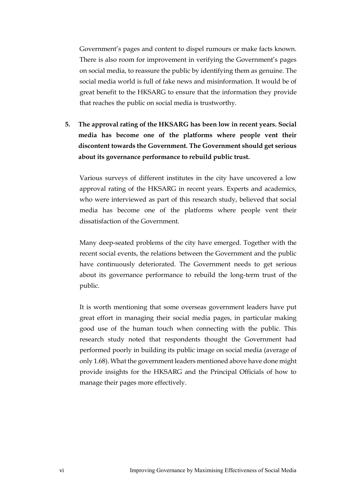Government's pages and content to dispel rumours or make facts known. There is also room for improvement in verifying the Government's pages on social media, to reassure the public by identifying them as genuine. The social media world is full of fake news and misinformation. It would be of great benefit to the HKSARG to ensure that the information they provide that reaches the public on social media is trustworthy.

**5. The approval rating of the HKSARG has been low in recent years. Social media has become one of the platforms where people vent their discontent towards the Government. The Government should get serious about its governance performance to rebuild public trust.** 

Various surveys of different institutes in the city have uncovered a low approval rating of the HKSARG in recent years. Experts and academics, who were interviewed as part of this research study, believed that social media has become one of the platforms where people vent their dissatisfaction of the Government.

Many deep-seated problems of the city have emerged. Together with the recent social events, the relations between the Government and the public have continuously deteriorated. The Government needs to get serious about its governance performance to rebuild the long-term trust of the public.

It is worth mentioning that some overseas government leaders have put great effort in managing their social media pages, in particular making good use of the human touch when connecting with the public. This research study noted that respondents thought the Government had performed poorly in building its public image on social media (average of only 1.68). What the government leaders mentioned above have done might provide insights for the HKSARG and the Principal Officials of how to manage their pages more effectively.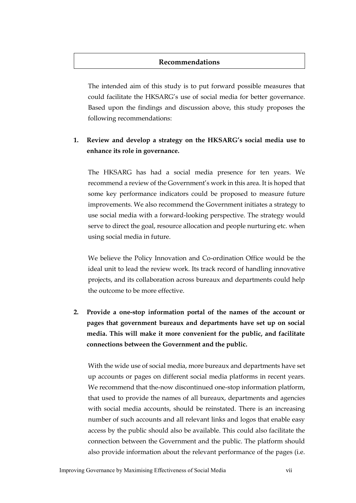#### **Recommendations**

The intended aim of this study is to put forward possible measures that could facilitate the HKSARG's use of social media for better governance. Based upon the findings and discussion above, this study proposes the following recommendations:

#### **1. Review and develop a strategy on the HKSARG's social media use to enhance its role in governance.**

The HKSARG has had a social media presence for ten years. We recommend a review of the Government's work in this area. It is hoped that some key performance indicators could be proposed to measure future improvements. We also recommend the Government initiates a strategy to use social media with a forward-looking perspective. The strategy would serve to direct the goal, resource allocation and people nurturing etc. when using social media in future.

We believe the Policy Innovation and Co-ordination Office would be the ideal unit to lead the review work. Its track record of handling innovative projects, and its collaboration across bureaux and departments could help the outcome to be more effective.

**2. Provide a one-stop information portal of the names of the account or pages that government bureaux and departments have set up on social media. This will make it more convenient for the public, and facilitate connections between the Government and the public.** 

With the wide use of social media, more bureaux and departments have set up accounts or pages on different social media platforms in recent years. We recommend that the-now discontinued one-stop information platform, that used to provide the names of all bureaux, departments and agencies with social media accounts, should be reinstated. There is an increasing number of such accounts and all relevant links and logos that enable easy access by the public should also be available. This could also facilitate the connection between the Government and the public. The platform should also provide information about the relevant performance of the pages (i.e.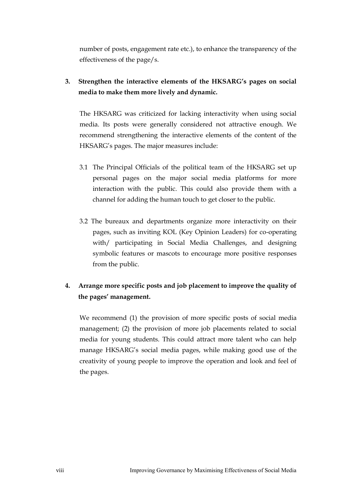number of posts, engagement rate etc.), to enhance the transparency of the effectiveness of the page/s.

**3. Strengthen the interactive elements of the HKSARG's pages on social media to make them more lively and dynamic.** 

The HKSARG was criticized for lacking interactivity when using social media. Its posts were generally considered not attractive enough. We recommend strengthening the interactive elements of the content of the HKSARG's pages. The major measures include:

- 3.1 The Principal Officials of the political team of the HKSARG set up personal pages on the major social media platforms for more interaction with the public. This could also provide them with a channel for adding the human touch to get closer to the public.
- 3.2 The bureaux and departments organize more interactivity on their pages, such as inviting KOL (Key Opinion Leaders) for co-operating with/ participating in Social Media Challenges, and designing symbolic features or mascots to encourage more positive responses from the public.

## **4. Arrange more specific posts and job placement to improve the quality of the pages' management.**

We recommend (1) the provision of more specific posts of social media management; (2) the provision of more job placements related to social media for young students. This could attract more talent who can help manage HKSARG's social media pages, while making good use of the creativity of young people to improve the operation and look and feel of the pages.